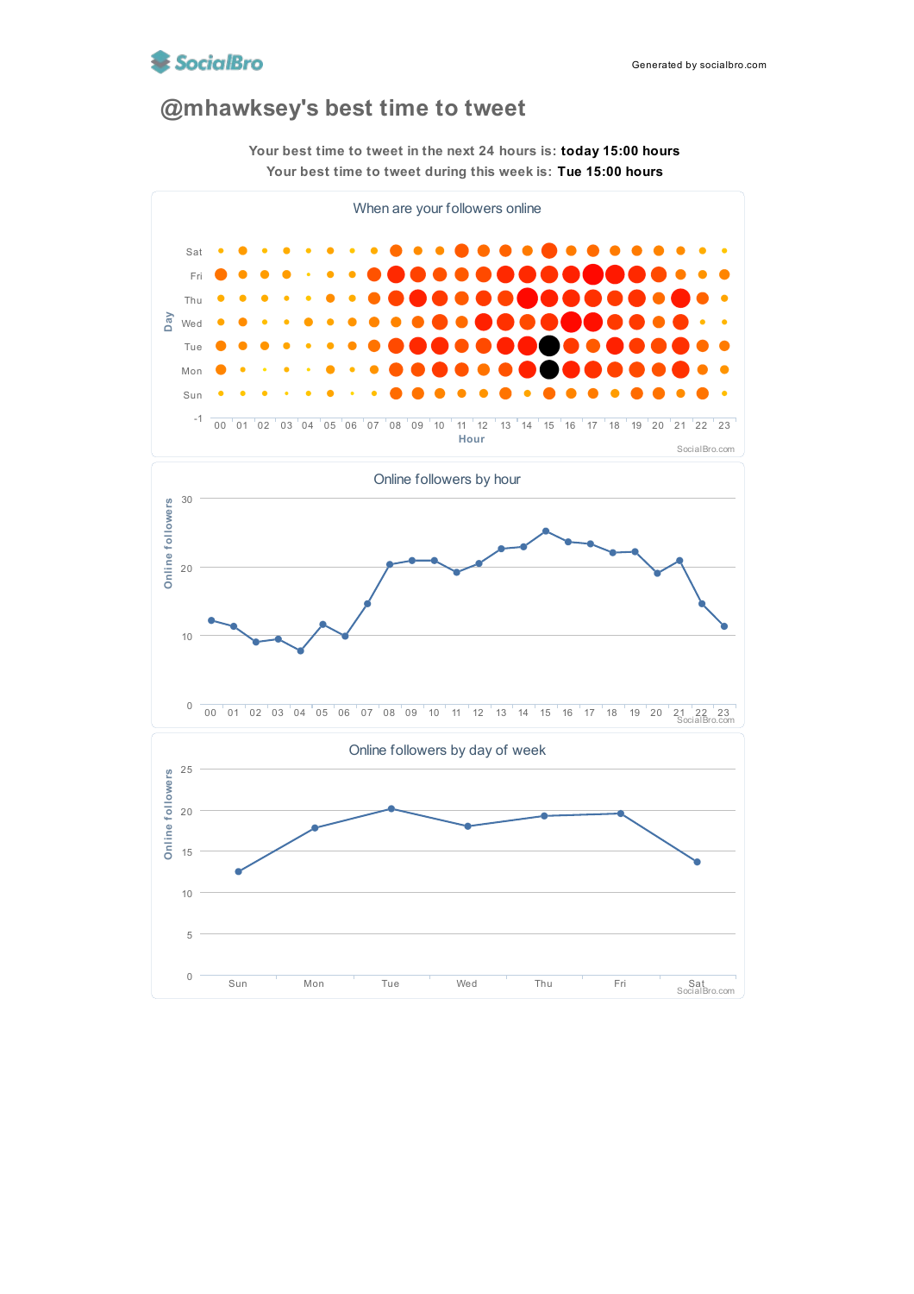

## **@mhawksey's best time to tweet**



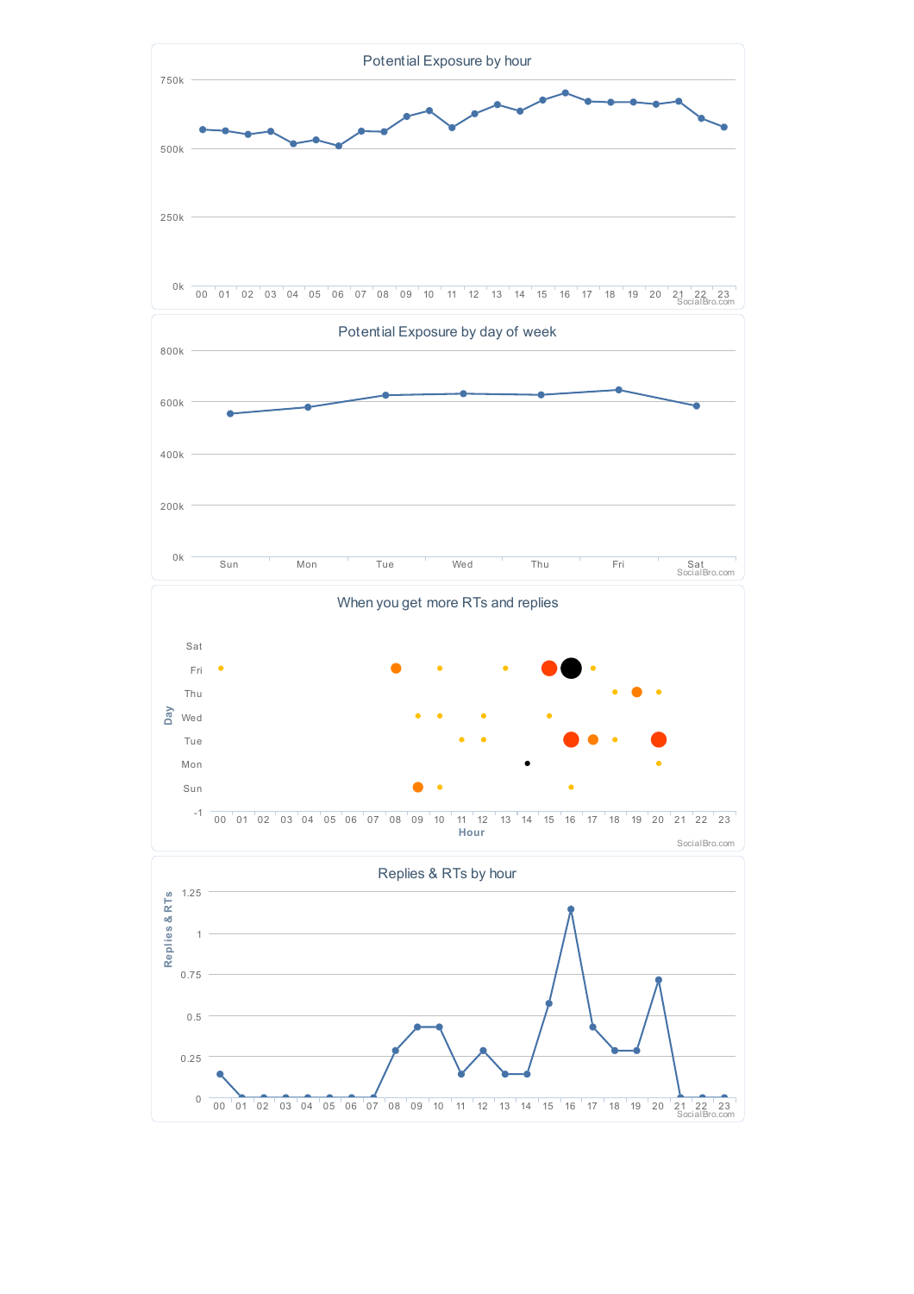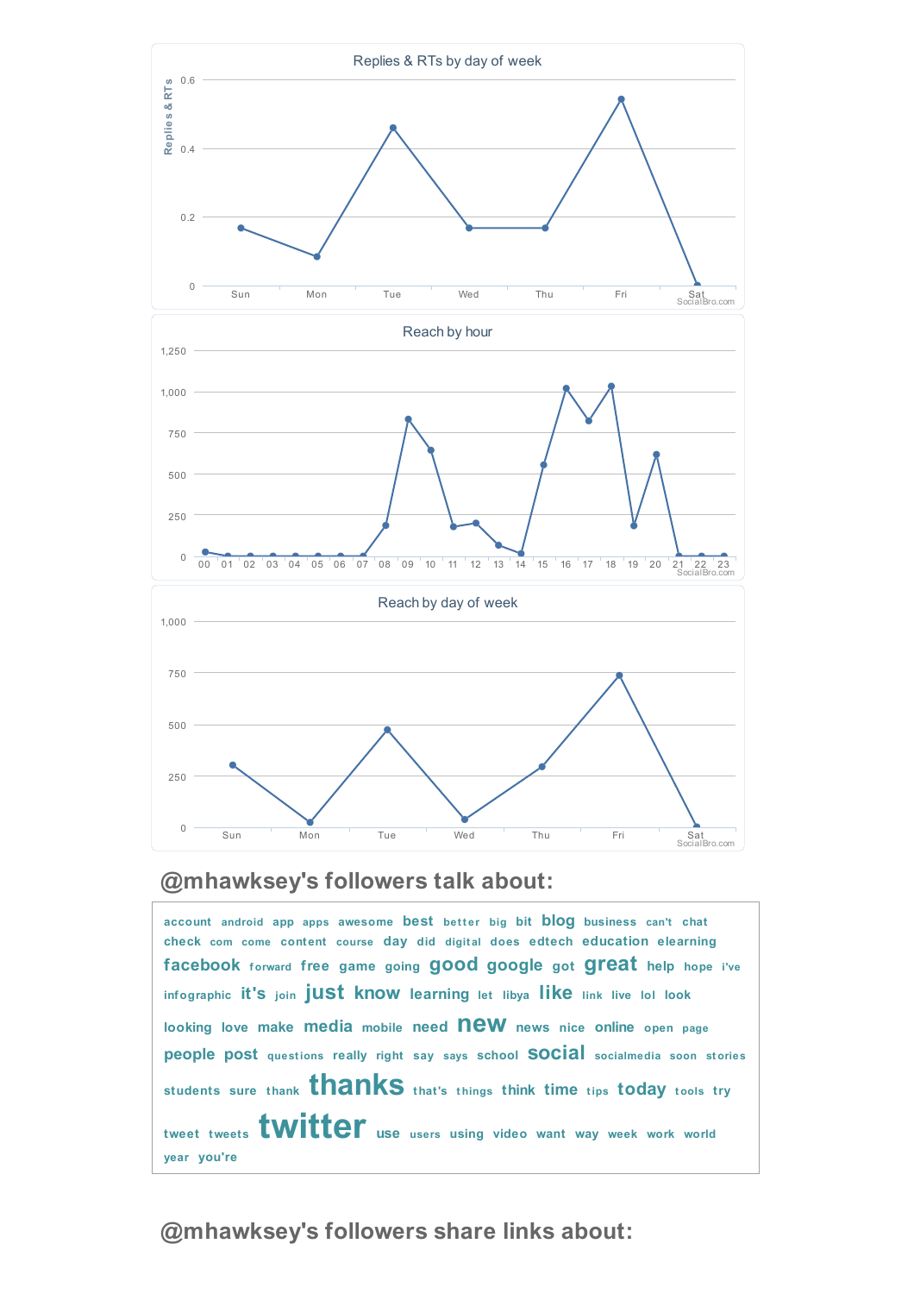

## **@mhawksey's followers talk about:**

**account android app apps awesome best bet <sup>t</sup> er big bit blog business can't chat check com come content course day did digit al does edtech education elearning facebook <sup>f</sup> orward free game going good google got great help hope i've infographic it's join just know learning let libya like link live lol look looking love make media mobile need new news nice online open page people post quest ions really right say says school social socialmedia soon st ories students sure thank thanks that's <sup>t</sup> hings think time <sup>t</sup> ips today <sup>t</sup> ools try tweet tweets twitter use users using video want way week work world year you're**

## **@mhawksey's followers share links about:**